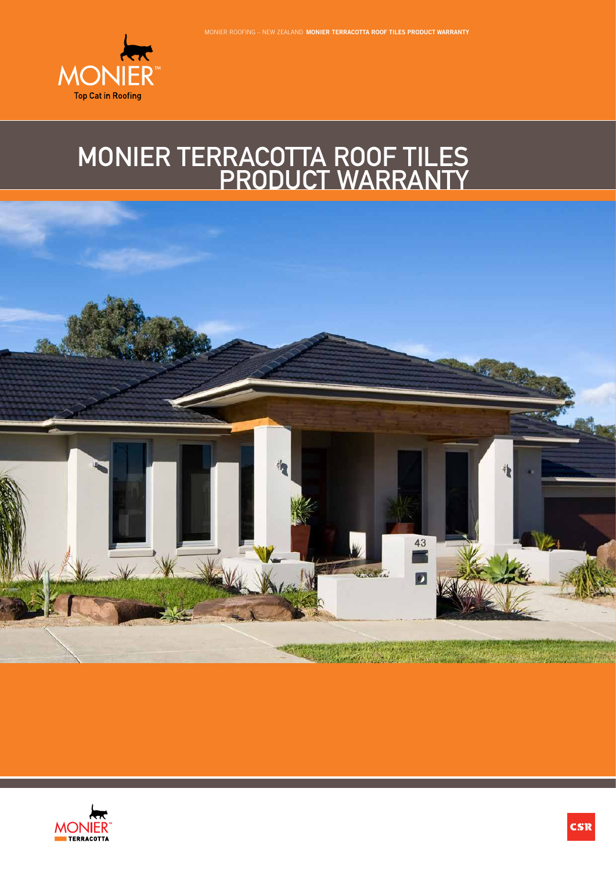

## MONIER TERRACOTTA ROOF TILES PRODUCT WARRANTY



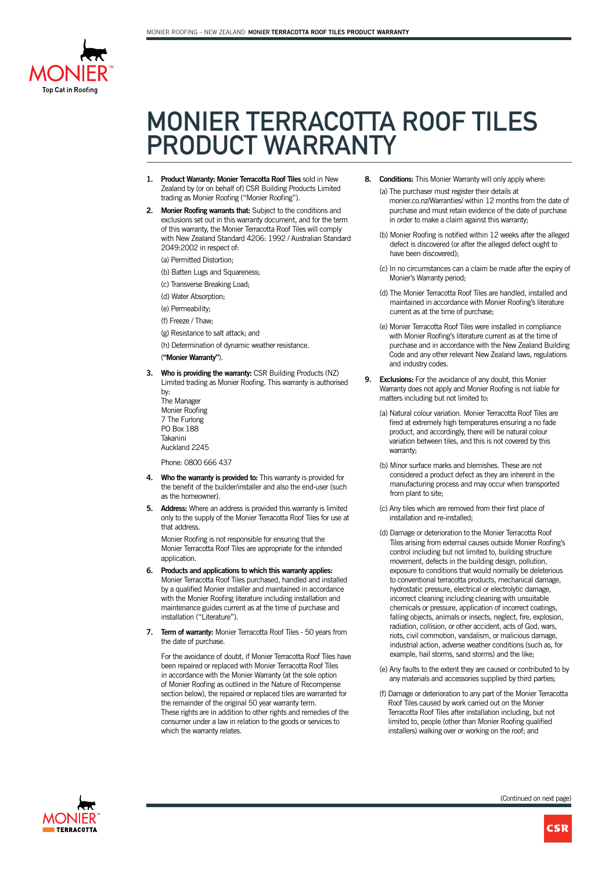

## MONIER TERRACOTTA ROOF TILES PRODUCT WARRANTY

- **1. Product Warranty: Monier Terracotta Roof Tiles** sold in New Zealand by (or on behalf of) CSR Building Products Limited trading as Monier Roofing ("Monier Roofing").
- **2. Monier Roofing warrants that:** Subject to the conditions and exclusions set out in this warranty document, and for the term of this warranty, the Monier Terracotta Roof Tiles will comply with New Zealand Standard 4206: 1992 / Australian Standard 2049:2002 in respect of:
	- (a) Permitted Distortion;
	- (b) Batten Lugs and Squareness;
	- (c) Transverse Breaking Load;
	- (d) Water Absorption;
	- (e) Permeability;
	- (f) Freeze / Thaw;
	- (g) Resistance to salt attack; and
	- (h) Determination of dynamic weather resistance.

## (**"Monier Warranty"**).

**3. Who is providing the warranty:** CSR Building Products (NZ) Limited trading as Monier Roofing. This warranty is authorised by:

The Manager Monier Roofing 7 The Furlong PO Box 188 Takanini Auckland 2245

Phone: 0800 666 437

- **4. Who the warranty is provided to:** This warranty is provided for the benefit of the builder/installer and also the end-user (such as the homeowner).
- **5. Address:** Where an address is provided this warranty is limited only to the supply of the Monier Terracotta Roof Tiles for use at that address.

Monier Roofing is not responsible for ensuring that the Monier Terracotta Roof Tiles are appropriate for the intended application.

- **6. Products and applications to which this warranty applies:** Monier Terracotta Roof Tiles purchased, handled and installed by a qualified Monier installer and maintained in accordance with the Monier Roofing literature including installation and maintenance guides current as at the time of purchase and installation ("Literature").
- **7. Term of warranty:** Monier Terracotta Roof Tiles 50 years from the date of purchase.

For the avoidance of doubt, if Monier Terracotta Roof Tiles have been repaired or replaced with Monier Terracotta Roof Tiles in accordance with the Monier Warranty (at the sole option of Monier Roofing as outlined in the Nature of Recompense section below), the repaired or replaced tiles are warranted for the remainder of the original 50 year warranty term. These rights are in addition to other rights and remedies of the consumer under a law in relation to the goods or services to which the warranty relates.

- **8. Conditions:** This Monier Warranty will only apply where:
	- (a) The purchaser must register their details at monier.co.nz/Warranties/ within 12 months from the date of purchase and must retain evidence of the date of purchase in order to make a claim against this warranty;
	- (b) Monier Roofing is notified within 12 weeks after the alleged defect is discovered (or after the alleged defect ought to have been discovered);
	- (c) In no circumstances can a claim be made after the expiry of Monier's Warranty period;
	- (d) The Monier Terracotta Roof Tiles are handled, installed and maintained in accordance with Monier Roofing's literature current as at the time of purchase;
	- (e) Monier Terracotta Roof Tiles were installed in compliance with Monier Roofing's literature current as at the time of purchase and in accordance with the New Zealand Building Code and any other relevant New Zealand laws, regulations and industry codes.
- **9. Exclusions:** For the avoidance of any doubt, this Monier Warranty does not apply and Monier Roofing is not liable for matters including but not limited to:
	- (a) Natural colour variation. Monier Terracotta Roof Tiles are fired at extremely high temperatures ensuring a no fade product, and accordingly, there will be natural colour variation between tiles, and this is not covered by this warranty;
	- (b) Minor surface marks and blemishes. These are not considered a product defect as they are inherent in the manufacturing process and may occur when transported from plant to site;
	- (c) Any tiles which are removed from their first place of installation and re-installed;
	- (d) Damage or deterioration to the Monier Terracotta Roof Tiles arising from external causes outside Monier Roofing's control including but not limited to, building structure movement, defects in the building design, pollution, exposure to conditions that would normally be deleterious to conventional terracotta products, mechanical damage hydrostatic pressure, electrical or electrolytic damage, incorrect cleaning including cleaning with unsuitable chemicals or pressure, application of incorrect coatings, falling objects, animals or insects, neglect, fire, explosion, radiation, collision, or other accident, acts of God, wars, riots, civil commotion, vandalism, or malicious damage, industrial action, adverse weather conditions (such as, for example, hail storms, sand storms) and the like;
	- (e) Any faults to the extent they are caused or contributed to by any materials and accessories supplied by third parties;
	- (f) Damage or deterioration to any part of the Monier Terracotta Roof Tiles caused by work carried out on the Monier Terracotta Roof Tiles after installation including, but not limited to, people (other than Monier Roofing qualified installers) walking over or working on the roof; and